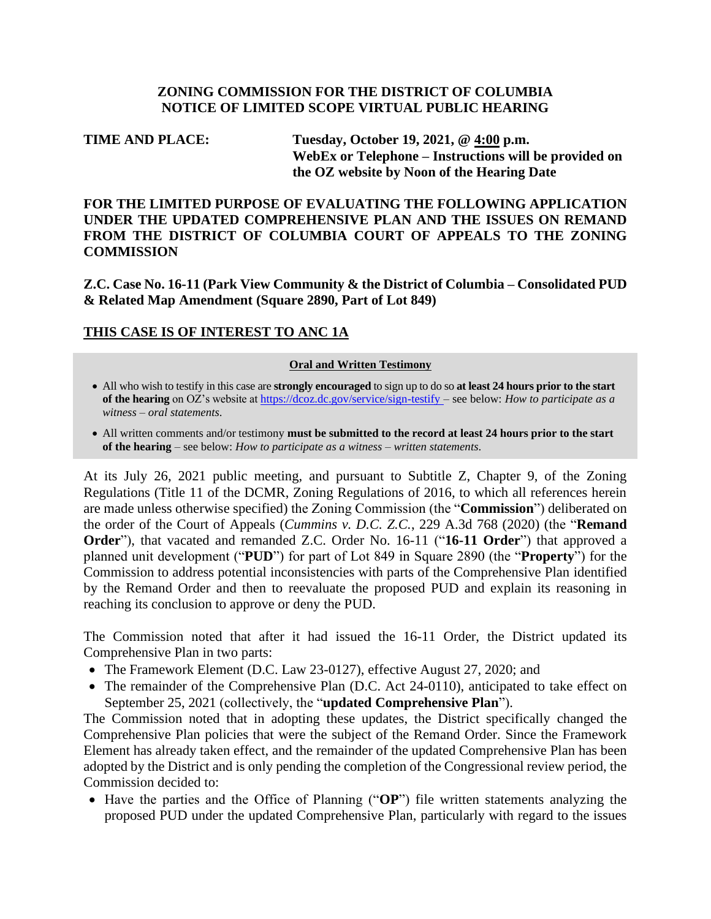#### **ZONING COMMISSION FOR THE DISTRICT OF COLUMBIA NOTICE OF LIMITED SCOPE VIRTUAL PUBLIC HEARING**

# **TIME AND PLACE: Tuesday, October 19, 2021, @ 4:00 p.m. WebEx or Telephone – Instructions will be provided on the OZ website by Noon of the Hearing Date**

**FOR THE LIMITED PURPOSE OF EVALUATING THE FOLLOWING APPLICATION UNDER THE UPDATED COMPREHENSIVE PLAN AND THE ISSUES ON REMAND FROM THE DISTRICT OF COLUMBIA COURT OF APPEALS TO THE ZONING COMMISSION**

**Z.C. Case No. 16-11 (Park View Community & the District of Columbia – Consolidated PUD & Related Map Amendment (Square 2890, Part of Lot 849)**

## **THIS CASE IS OF INTEREST TO ANC 1A**

#### **Oral and Written Testimony**

- All who wish to testify in this case are **strongly encouraged** to sign up to do so **at least 24 hours prior to the start of the hearing** on OZ's website a[t https://dcoz.dc.gov/service/sign-testify](https://dcoz.dc.gov/service/sign-testify) – see below: *How to participate as a witness – oral statements*.
- All written comments and/or testimony **must be submitted to the record at least 24 hours prior to the start of the hearing** – see below: *How to participate as a witness – written statements*.

At its July 26, 2021 public meeting, and pursuant to Subtitle Z, Chapter 9, of the Zoning Regulations (Title 11 of the DCMR, Zoning Regulations of 2016, to which all references herein are made unless otherwise specified) the Zoning Commission (the "**Commission**") deliberated on the order of the Court of Appeals (*Cummins v. D.C. Z.C.*, 229 A.3d 768 (2020) (the "**Remand Order**"), that vacated and remanded Z.C. Order No. 16-11 ("**16-11 Order**") that approved a planned unit development ("**PUD**") for part of Lot 849 in Square 2890 (the "**Property**") for the Commission to address potential inconsistencies with parts of the Comprehensive Plan identified by the Remand Order and then to reevaluate the proposed PUD and explain its reasoning in reaching its conclusion to approve or deny the PUD.

The Commission noted that after it had issued the 16-11 Order, the District updated its Comprehensive Plan in two parts:

- The Framework Element (D.C. Law 23-0127), effective August 27, 2020; and
- The remainder of the Comprehensive Plan (D.C. Act 24-0110), anticipated to take effect on September 25, 2021 (collectively, the "**updated Comprehensive Plan**").

The Commission noted that in adopting these updates, the District specifically changed the Comprehensive Plan policies that were the subject of the Remand Order. Since the Framework Element has already taken effect, and the remainder of the updated Comprehensive Plan has been adopted by the District and is only pending the completion of the Congressional review period, the Commission decided to:

• Have the parties and the Office of Planning ("**OP**") file written statements analyzing the proposed PUD under the updated Comprehensive Plan, particularly with regard to the issues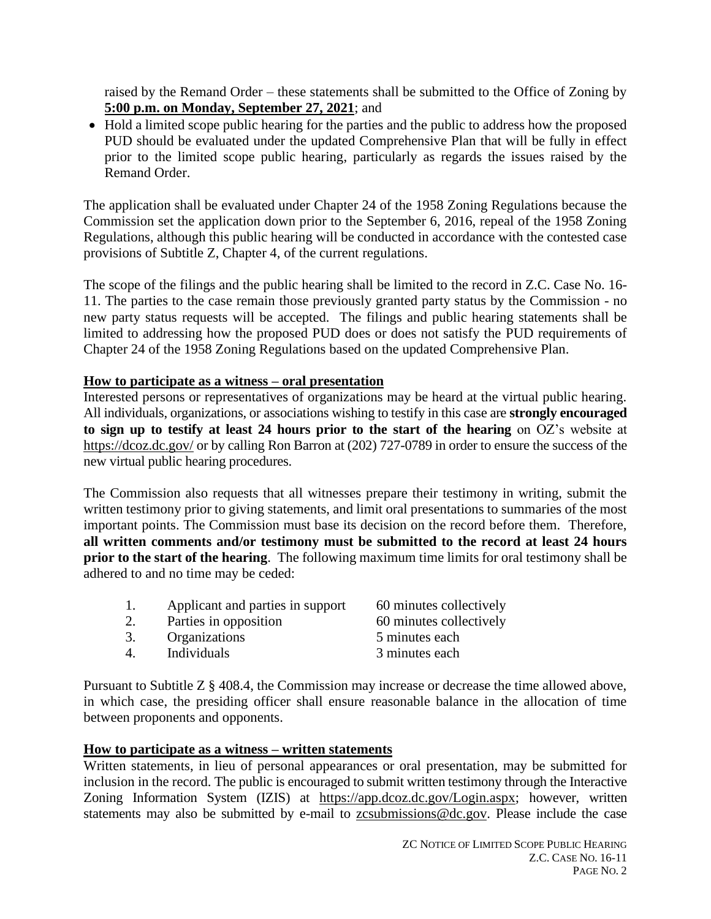raised by the Remand Order – these statements shall be submitted to the Office of Zoning by **5:00 p.m. on Monday, September 27, 2021**; and

• Hold a limited scope public hearing for the parties and the public to address how the proposed PUD should be evaluated under the updated Comprehensive Plan that will be fully in effect prior to the limited scope public hearing, particularly as regards the issues raised by the Remand Order.

The application shall be evaluated under Chapter 24 of the 1958 Zoning Regulations because the Commission set the application down prior to the September 6, 2016, repeal of the 1958 Zoning Regulations, although this public hearing will be conducted in accordance with the contested case provisions of Subtitle Z, Chapter 4, of the current regulations.

The scope of the filings and the public hearing shall be limited to the record in Z.C. Case No. 16- 11. The parties to the case remain those previously granted party status by the Commission - no new party status requests will be accepted. The filings and public hearing statements shall be limited to addressing how the proposed PUD does or does not satisfy the PUD requirements of Chapter 24 of the 1958 Zoning Regulations based on the updated Comprehensive Plan.

## **How to participate as a witness – oral presentation**

Interested persons or representatives of organizations may be heard at the virtual public hearing. All individuals, organizations, or associations wishing to testify in this case are **strongly encouraged to sign up to testify at least 24 hours prior to the start of the hearing** on OZ's website at <https://dcoz.dc.gov/> or by calling Ron Barron at (202) 727-0789 in order to ensure the success of the new virtual public hearing procedures.

The Commission also requests that all witnesses prepare their testimony in writing, submit the written testimony prior to giving statements, and limit oral presentations to summaries of the most important points. The Commission must base its decision on the record before them. Therefore, **all written comments and/or testimony must be submitted to the record at least 24 hours prior to the start of the hearing**. The following maximum time limits for oral testimony shall be adhered to and no time may be ceded:

| 1. | Applicant and parties in support | 60 minutes collectively |
|----|----------------------------------|-------------------------|
| 2. | Parties in opposition            | 60 minutes collectively |
| 3. | Organizations                    | 5 minutes each          |
| 4. | Individuals                      | 3 minutes each          |
|    |                                  |                         |

Pursuant to Subtitle Z § 408.4, the Commission may increase or decrease the time allowed above, in which case, the presiding officer shall ensure reasonable balance in the allocation of time between proponents and opponents.

#### **How to participate as a witness – written statements**

Written statements, in lieu of personal appearances or oral presentation, may be submitted for inclusion in the record. The public is encouraged to submit written testimony through the Interactive Zoning Information System (IZIS) at [https://app.dcoz.dc.gov/Login.aspx;](https://app.dcoz.dc.gov/Login.aspx) however, written statements may also be submitted by e-mail to [zcsubmissions@dc.gov.](mailto:zcsubmissions@dc.gov) Please include the case